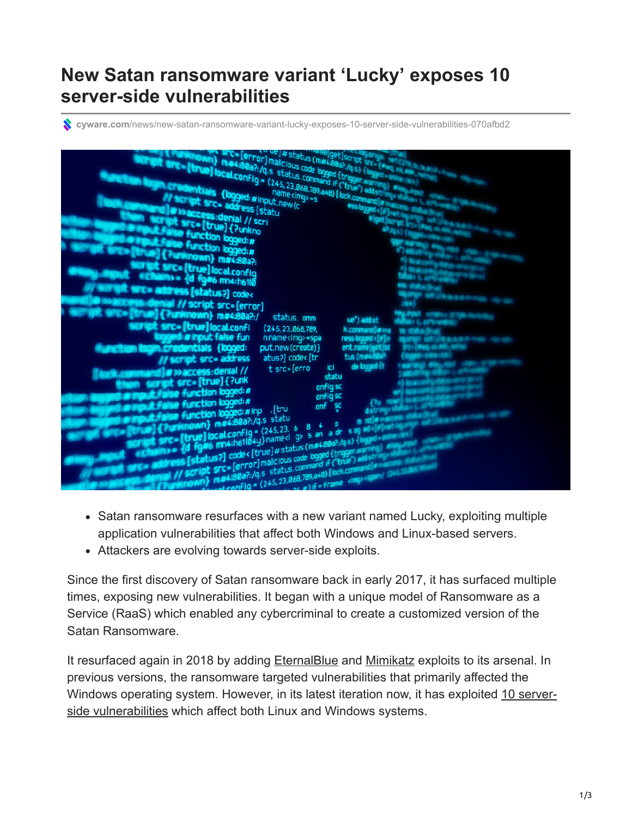## **New Satan ransomware variant 'Lucky' exposes 10 server-side vulnerabilities**

**cyware.com**[/news/new-satan-ransomware-variant-lucky-exposes-10-server-side-vulnerabilities-070afbd2](https://cyware.com/news/new-satan-ransomware-variant-lucky-exposes-10-server-side-vulnerabilities-070afbd2)



- Satan ransomware resurfaces with a new variant named Lucky, exploiting multiple application vulnerabilities that affect both Windows and Linux-based servers.
- Attackers are evolving towards server-side exploits.

Since the first discovery of Satan ransomware back in early 2017, it has surfaced multiple times, exposing new vulnerabilities. It began with a unique model of Ransomware as a Service (RaaS) which enabled any cybercriminal to create a customized version of the Satan Ransomware.

It resurfaced again in 2018 by adding [EternalBlue](https://bartblaze.blogspot.com/2018/04/satan-ransomware-adds-eternalblue.html) and [Mimikatz](https://blogs.quickheal.com/satan-ransomware-raises-head/) exploits to its arsenal. In previous versions, the ransomware targeted vulnerabilities that primarily affected the [Windows operating system. However, in its latest iteration now, it has exploited 10 server](https://www.darkreading.com/threat-intelligence/satan-ransomware-variant-exploits-10-server-side-flaws/d/d-id/1333448)side vulnerabilities which affect both Linux and Windows systems.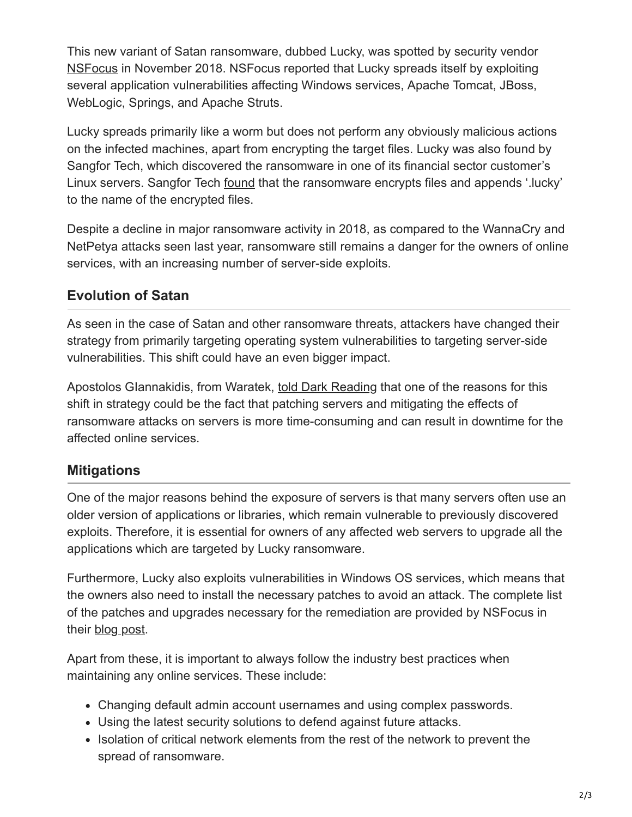This new variant of Satan ransomware, dubbed Lucky, was spotted by security vendor [NSFocus](https://blog.nsfocusglobal.com/categories/trend-analysis/satan-variant-analysis-handling-guide/) in November 2018. NSFocus reported that Lucky spreads itself by exploiting several application vulnerabilities affecting Windows services, Apache Tomcat, JBoss, WebLogic, Springs, and Apache Struts.

Lucky spreads primarily like a worm but does not perform any obviously malicious actions on the infected machines, apart from encrypting the target files. Lucky was also found by Sangfor Tech, which discovered the ransomware in one of its financial sector customer's Linux servers. Sangfor Tech [found](https://www.sangfor.com/source/blog-network-security/1094.html) that the ransomware encrypts files and appends '.lucky' to the name of the encrypted files.

Despite a decline in major ransomware activity in 2018, as compared to the WannaCry and NetPetya attacks seen last year, ransomware still remains a danger for the owners of online services, with an increasing number of server-side exploits.

## **Evolution of Satan**

As seen in the case of Satan and other ransomware threats, attackers have changed their strategy from primarily targeting operating system vulnerabilities to targeting server-side vulnerabilities. This shift could have an even bigger impact.

Apostolos GIannakidis, from Waratek, [told Dark Reading](https://www.darkreading.com/threat-intelligence/satan-ransomware-variant-exploits-10-server-side-flaws/d/d-id/1333448) that one of the reasons for this shift in strategy could be the fact that patching servers and mitigating the effects of ransomware attacks on servers is more time-consuming and can result in downtime for the affected online services.

## **Mitigations**

One of the major reasons behind the exposure of servers is that many servers often use an older version of applications or libraries, which remain vulnerable to previously discovered exploits. Therefore, it is essential for owners of any affected web servers to upgrade all the applications which are targeted by Lucky ransomware.

Furthermore, Lucky also exploits vulnerabilities in Windows OS services, which means that the owners also need to install the necessary patches to avoid an attack. The complete list of the patches and upgrades necessary for the remediation are provided by NSFocus in their [blog post](https://blog.nsfocusglobal.com/categories/trend-analysis/satan-variant-analysis-handling-guide/).

Apart from these, it is important to always follow the industry best practices when maintaining any online services. These include:

- Changing default admin account usernames and using complex passwords.
- Using the latest security solutions to defend against future attacks.
- Isolation of critical network elements from the rest of the network to prevent the spread of ransomware.